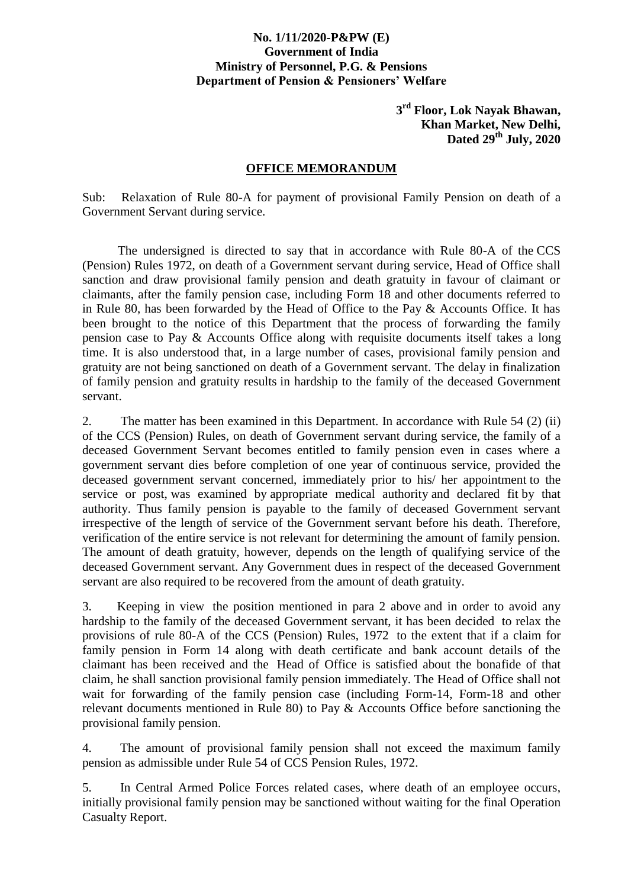## **No. 1/11/2020-P&PW (E) Government of India Ministry of Personnel, P.G. & Pensions Department of Pension & Pensioners' Welfare**

**3 rd Floor, Lok Nayak Bhawan, Khan Market, New Delhi, Dated 29th July, 2020**

## **OFFICE MEMORANDUM**

Sub: Relaxation of Rule 80-A for payment of provisional Family Pension on death of a Government Servant during service.

The undersigned is directed to say that in accordance with Rule 80-A of the CCS (Pension) Rules 1972, on death of a Government servant during service, Head of Office shall sanction and draw provisional family pension and death gratuity in favour of claimant or claimants, after the family pension case, including Form 18 and other documents referred to in Rule 80, has been forwarded by the Head of Office to the Pay & Accounts Office. It has been brought to the notice of this Department that the process of forwarding the family pension case to Pay & Accounts Office along with requisite documents itself takes a long time. It is also understood that, in a large number of cases, provisional family pension and gratuity are not being sanctioned on death of a Government servant. The delay in finalization of family pension and gratuity results in hardship to the family of the deceased Government servant.

2. The matter has been examined in this Department. In accordance with Rule 54 (2) (ii) of the CCS (Pension) Rules, on death of Government servant during service, the family of a deceased Government Servant becomes entitled to family pension even in cases where a government servant dies before completion of one year of continuous service, provided the deceased government servant concerned, immediately prior to his/ her appointment to the service or post, was examined by appropriate medical authority and declared fit by that authority. Thus family pension is payable to the family of deceased Government servant irrespective of the length of service of the Government servant before his death. Therefore, verification of the entire service is not relevant for determining the amount of family pension. The amount of death gratuity, however, depends on the length of qualifying service of the deceased Government servant. Any Government dues in respect of the deceased Government servant are also required to be recovered from the amount of death gratuity.

3. Keeping in view the position mentioned in para 2 above and in order to avoid any hardship to the family of the deceased Government servant, it has been decided to relax the provisions of rule 80-A of the CCS (Pension) Rules, 1972 to the extent that if a claim for family pension in Form 14 along with death certificate and bank account details of the claimant has been received and the Head of Office is satisfied about the bonafide of that claim, he shall sanction provisional family pension immediately. The Head of Office shall not wait for forwarding of the family pension case (including Form-14, Form-18 and other relevant documents mentioned in Rule 80) to Pay & Accounts Office before sanctioning the provisional family pension.

4. The amount of provisional family pension shall not exceed the maximum family pension as admissible under Rule 54 of CCS Pension Rules, 1972.

5. In Central Armed Police Forces related cases, where death of an employee occurs, initially provisional family pension may be sanctioned without waiting for the final Operation Casualty Report.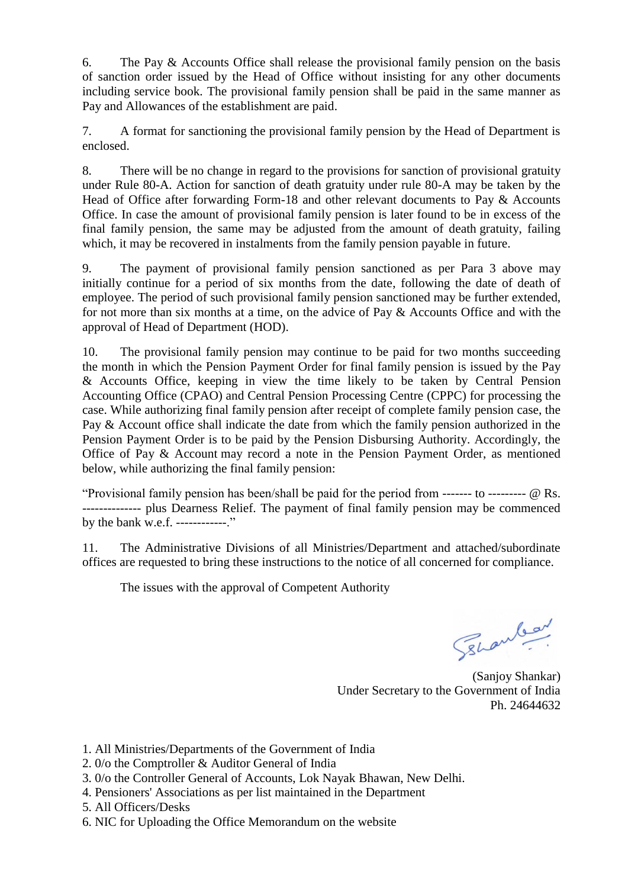6. The Pay & Accounts Office shall release the provisional family pension on the basis of sanction order issued by the Head of Office without insisting for any other documents including service book. The provisional family pension shall be paid in the same manner as Pay and Allowances of the establishment are paid.

7. A format for sanctioning the provisional family pension by the Head of Department is enclosed.

8. There will be no change in regard to the provisions for sanction of provisional gratuity under Rule 80-A. Action for sanction of death gratuity under rule 80-A may be taken by the Head of Office after forwarding Form-18 and other relevant documents to Pay & Accounts Office. In case the amount of provisional family pension is later found to be in excess of the final family pension, the same may be adjusted from the amount of death gratuity, failing which, it may be recovered in instalments from the family pension payable in future.

9. The payment of provisional family pension sanctioned as per Para 3 above may initially continue for a period of six months from the date, following the date of death of employee. The period of such provisional family pension sanctioned may be further extended, for not more than six months at a time, on the advice of Pay & Accounts Office and with the approval of Head of Department (HOD).

10. The provisional family pension may continue to be paid for two months succeeding the month in which the Pension Payment Order for final family pension is issued by the Pay & Accounts Office, keeping in view the time likely to be taken by Central Pension Accounting Office (CPAO) and Central Pension Processing Centre (CPPC) for processing the case. While authorizing final family pension after receipt of complete family pension case, the Pay & Account office shall indicate the date from which the family pension authorized in the Pension Payment Order is to be paid by the Pension Disbursing Authority. Accordingly, the Office of Pay & Account may record a note in the Pension Payment Order, as mentioned below, while authorizing the final family pension:

"Provisional family pension has been/shall be paid for the period from ------- to --------- @ Rs. -------------- plus Dearness Relief. The payment of final family pension may be commenced by the bank w.e.f. ------------."

11. The Administrative Divisions of all Ministries/Department and attached/subordinate offices are requested to bring these instructions to the notice of all concerned for compliance.

The issues with the approval of Competent Authority

Sehanlear

(Sanjoy Shankar) Under Secretary to the Government of India Ph. 24644632

- 1. All Ministries/Departments of the Government of India
- 2. 0/o the Comptroller & Auditor General of India
- 3. 0/o the Controller General of Accounts, Lok Nayak Bhawan, New Delhi.
- 4. Pensioners' Associations as per list maintained in the Department
- 5. All Officers/Desks
- 6. NIC for Uploading the Office Memorandum on the website